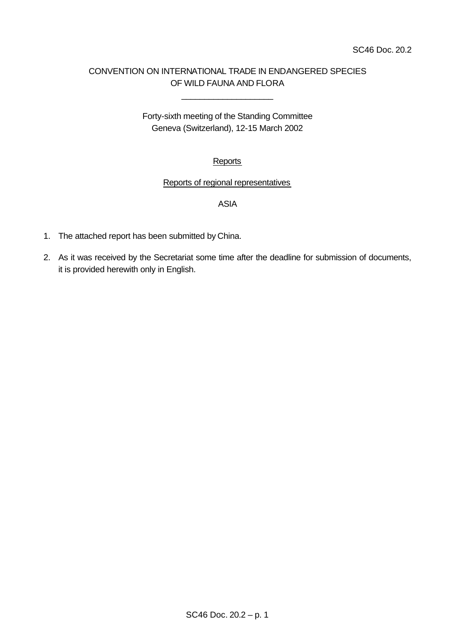# CONVENTION ON INTERNATIONAL TRADE IN ENDANGERED SPECIES OF WILD FAUNA AND FLORA

\_\_\_\_\_\_\_\_\_\_\_\_\_\_\_\_\_\_\_\_

Forty-sixth meeting of the Standing Committee Geneva (Switzerland), 12-15 March 2002

# **Reports**

## Reports of regional representatives

## ASIA

- 1. The attached report has been submitted by China.
- 2. As it was received by the Secretariat some time after the deadline for submission of documents, it is provided herewith only in English.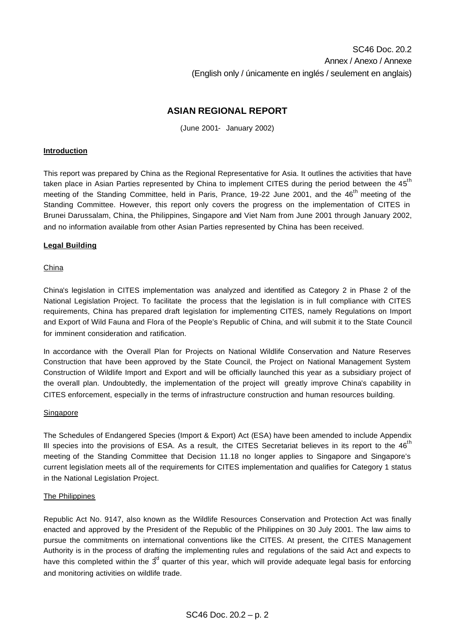## **ASIAN REGIONAL REPORT**

(June 2001- January 2002)

#### **Introduction**

This report was prepared by China as the Regional Representative for Asia. It outlines the activities that have taken place in Asian Parties represented by China to implement CITES during the period between the 45<sup>th</sup> meeting of the Standing Committee, held in Paris, Prance, 19-22 June 2001, and the 46<sup>th</sup> meeting of the Standing Committee. However, this report only covers the progress on the implementation of CITES in Brunei Darussalam, China, the Philippines, Singapore and Viet Nam from June 2001 through January 2002, and no information available from other Asian Parties represented by China has been received.

#### **Legal Building**

#### China

China's legislation in CITES implementation was analyzed and identified as Category 2 in Phase 2 of the National Legislation Project. To facilitate the process that the legislation is in full compliance with CITES requirements, China has prepared draft legislation for implementing CITES, namely Regulations on Import and Export of Wild Fauna and Flora of the People's Republic of China, and will submit it to the State Council for imminent consideration and ratification.

In accordance with the Overall Plan for Projects on National Wildlife Conservation and Nature Reserves Construction that have been approved by the State Council, the Project on National Management System Construction of Wildlife Import and Export and will be officially launched this year as a subsidiary project of the overall plan. Undoubtedly, the implementation of the project will greatly improve China's capability in CITES enforcement, especially in the terms of infrastructure construction and human resources building.

#### Singapore

The Schedules of Endangered Species (Import & Export) Act (ESA) have been amended to include Appendix III species into the provisions of ESA. As a result, the CITES Secretariat believes in its report to the  $46<sup>th</sup>$ meeting of the Standing Committee that Decision 11.18 no longer applies to Singapore and Singapore's current legislation meets all of the requirements for CITES implementation and qualifies for Category 1 status in the National Legislation Project.

#### The Philippines

Republic Act No. 9147, also known as the Wildlife Resources Conservation and Protection Act was finally enacted and approved by the President of the Republic of the Philippines on 30 July 2001. The law aims to pursue the commitments on international conventions like the CITES. At present, the CITES Management Authority is in the process of drafting the implementing rules and regulations of the said Act and expects to have this completed within the  $3<sup>d</sup>$  quarter of this year, which will provide adequate legal basis for enforcing and monitoring activities on wildlife trade.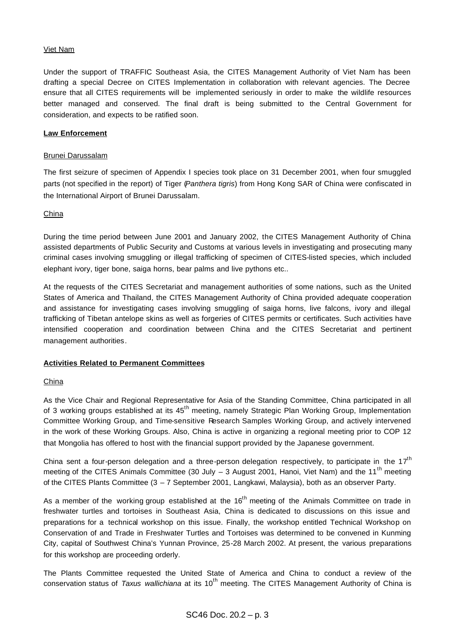#### Viet Nam

Under the support of TRAFFIC Southeast Asia, the CITES Management Authority of Viet Nam has been drafting a special Decree on CITES Implementation in collaboration with relevant agencies. The Decree ensure that all CITES requirements will be implemented seriously in order to make the wildlife resources better managed and conserved. The final draft is being submitted to the Central Government for consideration, and expects to be ratified soon.

#### **Law Enforcement**

#### Brunei Darussalam

The first seizure of specimen of Appendix I species took place on 31 December 2001, when four smuggled parts (not specified in the report) of Tiger (*Panthera tigris*) from Hong Kong SAR of China were confiscated in the International Airport of Brunei Darussalam.

#### China

During the time period between June 2001 and January 2002, the CITES Management Authority of China assisted departments of Public Security and Customs at various levels in investigating and prosecuting many criminal cases involving smuggling or illegal trafficking of specimen of CITES-listed species, which included elephant ivory, tiger bone, saiga horns, bear palms and live pythons etc..

At the requests of the CITES Secretariat and management authorities of some nations, such as the United States of America and Thailand, the CITES Management Authority of China provided adequate cooperation and assistance for investigating cases involving smuggling of saiga horns, live falcons, ivory and illegal trafficking of Tibetan antelope skins as well as forgeries of CITES permits or certificates. Such activities have intensified cooperation and coordination between China and the CITES Secretariat and pertinent management authorities.

## **Activities Related to Permanent Committees**

## China

As the Vice Chair and Regional Representative for Asia of the Standing Committee, China participated in all of 3 working groups established at its 45<sup>th</sup> meeting, namely Strategic Plan Working Group, Implementation Committee Working Group, and Time-sensitive Research Samples Working Group, and actively intervened in the work of these Working Groups. Also, China is active in organizing a regional meeting prior to COP 12 that Mongolia has offered to host with the financial support provided by the Japanese government.

China sent a four-person delegation and a three-person delegation respectively, to participate in the 17<sup>th</sup> meeting of the CITES Animals Committee (30 July  $-$  3 August 2001, Hanoi, Viet Nam) and the 11<sup>th</sup> meeting of the CITES Plants Committee (3 – 7 September 2001, Langkawi, Malaysia), both as an observer Party.

As a member of the working group established at the 16<sup>th</sup> meeting of the Animals Committee on trade in freshwater turtles and tortoises in Southeast Asia, China is dedicated to discussions on this issue and preparations for a technical workshop on this issue. Finally, the workshop entitled Technical Workshop on Conservation of and Trade in Freshwater Turtles and Tortoises was determined to be convened in Kunming City, capital of Southwest China's Yunnan Province, 25-28 March 2002. At present, the various preparations for this workshop are proceeding orderly.

The Plants Committee requested the United State of America and China to conduct a review of the conservation status of *Taxus wallichiana* at its 10<sup>th</sup> meeting. The CITES Management Authority of China is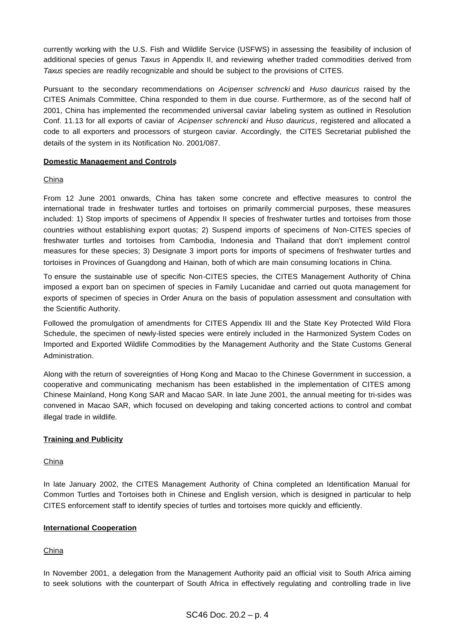currently working with the U.S. Fish and Wildlife Service (USFWS) in assessing the feasibility of inclusion of additional species of genus *Taxus* in Appendix II, and reviewing whether traded commodities derived from *Taxus* species are readily recognizable and should be subject to the provisions of CITES.

Pursuant to the secondary recommendations on *Acipenser schrencki* and *Huso dauricus* raised by the CITES Animals Committee, China responded to them in due course. Furthermore, as of the second half of 2001, China has implemented the recommended universal caviar labeling system as outlined in Resolution Conf. 11.13 for all exports of caviar of *Acipenser schrencki* and *Huso dauricus*, registered and allocated a code to all exporters and processors of sturgeon caviar. Accordingly, the CITES Secretariat published the details of the system in its Notification No. 2001/087.

#### **Domestic Management and Controls**

## China

From 12 June 2001 onwards, China has taken some concrete and effective measures to control the international trade in freshwater turtles and tortoises on primarily commercial purposes, these measures included: 1) Stop imports of specimens of Appendix II species of freshwater turtles and tortoises from those countries without establishing export quotas; 2) Suspend imports of specimens of Non-CITES species of freshwater turtles and tortoises from Cambodia, Indonesia and Thailand that don't implement control measures for these species; 3) Designate 3 import ports for imports of specimens of freshwater turtles and tortoises in Provinces of Guangdong and Hainan, both of which are main consuming locations in China.

To ensure the sustainable use of specific Non-CITES species, the CITES Management Authority of China imposed a export ban on specimen of species in Family Lucanidae and carried out quota management for exports of specimen of species in Order Anura on the basis of population assessment and consultation with the Scientific Authority.

Followed the promulgation of amendments for CITES Appendix III and the State Key Protected Wild Flora Schedule, the specimen of newly-listed species were entirely included in the Harmonized System Codes on Imported and Exported Wildlife Commodities by the Management Authority and the State Customs General Administration.

Along with the return of sovereignties of Hong Kong and Macao to the Chinese Government in succession, a cooperative and communicating mechanism has been established in the implementation of CITES among Chinese Mainland, Hong Kong SAR and Macao SAR. In late June 2001, the annual meeting for tri-sides was convened in Macao SAR, which focused on developing and taking concerted actions to control and combat illegal trade in wildlife.

## **Training and Publicity**

## **China**

In late January 2002, the CITES Management Authority of China completed an Identification Manual for Common Turtles and Tortoises both in Chinese and English version, which is designed in particular to help CITES enforcement staff to identify species of turtles and tortoises more quickly and efficiently.

## **International Cooperation**

## China

In November 2001, a delegation from the Management Authority paid an official visit to South Africa aiming to seek solutions with the counterpart of South Africa in effectively regulating and controlling trade in live